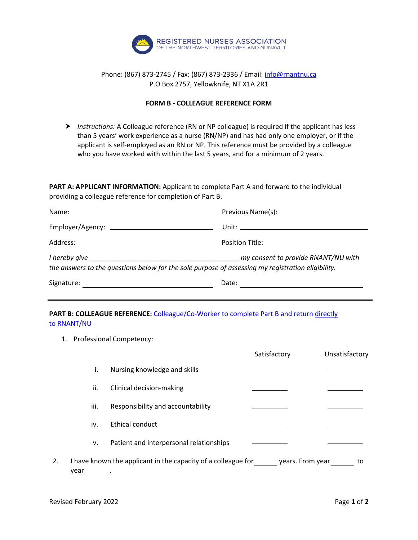

## Phone: (867) 873-2745 / Fax: (867) 873-2336 / Email[: info@rnantnu.ca](mailto:info@rnantnu.ca) P.O Box 2757, Yellowknife, NT X1A 2R1

## **FORM B - COLLEAGUE REFERENCE FORM**

 *Instructions:* A Colleague reference (RN or NP colleague) is required if the applicant has less than 5 years' work experience as a nurse (RN/NP) and has had only one employer, or if the applicant is self-employed as an RN or NP. This reference must be provided by a colleague who you have worked with within the last 5 years, and for a minimum of 2 years.

**PART A: APPLICANT INFORMATION:** Applicant to complete Part A and forward to the individual providing a colleague reference for completion of Part B.

|                                                                                                   | Position Title: <u>_____________________________</u> |  |
|---------------------------------------------------------------------------------------------------|------------------------------------------------------|--|
| the answers to the questions below for the sole purpose of assessing my registration eligibility. | my consent to provide RNANT/NU with                  |  |
| Signature:                                                                                        | Date:                                                |  |

## **PART B: COLLEAGUE REFERENCE:** Colleague/Co-Worker to complete Part B and return directly to RNANT/NU

1. Professional Competency:

|    |      |                                                               | Satisfactory     | Unsatisfactory |
|----|------|---------------------------------------------------------------|------------------|----------------|
|    | i.   | Nursing knowledge and skills                                  |                  |                |
|    | ii.  | Clinical decision-making                                      |                  |                |
|    | iii. | Responsibility and accountability                             |                  |                |
|    | iv.  | <b>Ethical conduct</b>                                        |                  |                |
|    | v.   | Patient and interpersonal relationships                       |                  |                |
| 2. | year | I have known the applicant in the capacity of a colleague for | years. From year | to             |